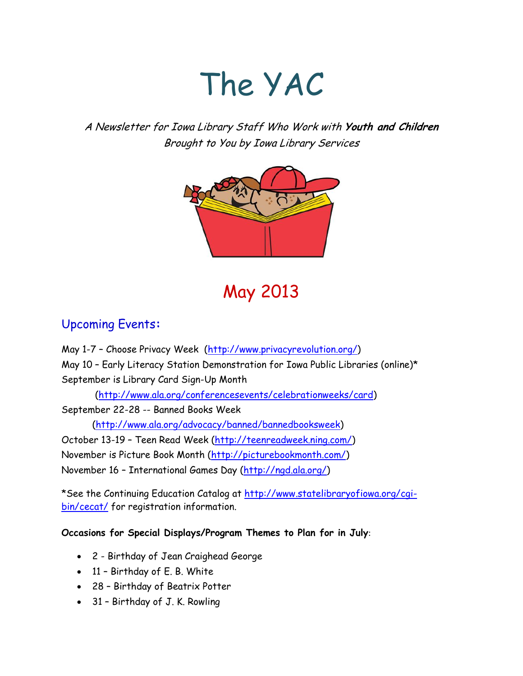# The YAC

A Newsletter for Iowa Library Staff Who Work with **Youth and Children** Brought to You by Iowa Library Services



# May 2013

# Upcoming Events**:**

May 1-7 – Choose Privacy Week [\(http://www.privacyrevolution.org/\)](http://www.privacyrevolution.org/)

May 10 – Early Literacy Station Demonstration for Iowa Public Libraries (online)\* September is Library Card Sign-Up Month

[\(http://www.ala.org/conferencesevents/celebrationweeks/card\)](http://www.ala.org/conferencesevents/celebrationweeks/card)

September 22-28 -- Banned Books Week

[\(http://www.ala.org/advocacy/banned/bannedbooksweek\)](http://www.ala.org/advocacy/banned/bannedbooksweek)

October 13-19 – Teen Read Week [\(http://teenreadweek.ning.com/\)](http://teenreadweek.ning.com/)

November is Picture Book Month [\(http://picturebookmonth.com/\)](http://picturebookmonth.com/)

November 16 – International Games Day [\(http://ngd.ala.org/\)](http://ngd.ala.org/)

\*See the Continuing Education Catalog at [http://www.statelibraryofiowa.org/cgi](http://www.statelibraryofiowa.org/cgi-bin/cecat/)[bin/cecat/](http://www.statelibraryofiowa.org/cgi-bin/cecat/) for registration information.

**Occasions for Special Displays/Program Themes to Plan for in July**:

- 2 Birthday of Jean Craighead George
- 11 Birthday of E. B. White
- 28 Birthday of Beatrix Potter
- 31 Birthday of J. K. Rowling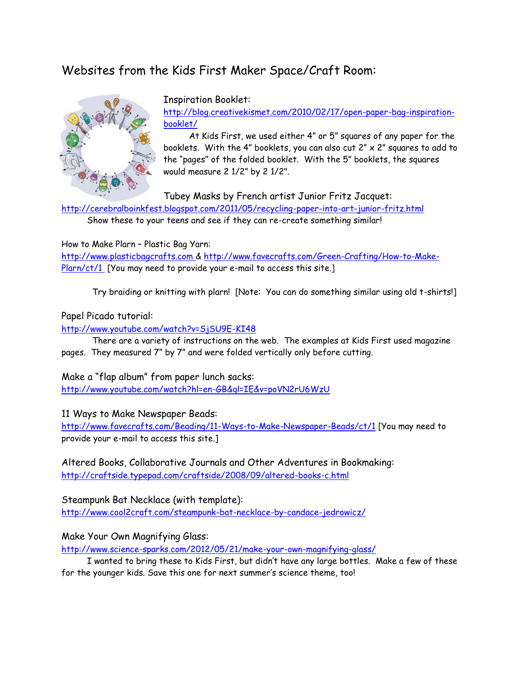# Websites from the Kids First Maker Space/Craft Room:



Inspiration Booklet:

[http://blog.creativekismet.com/2010/02/17/open-paper-bag-inspiration](http://blog.creativekismet.com/2010/02/17/open-paper-bag-inspiration-booklet/)[booklet/](http://blog.creativekismet.com/2010/02/17/open-paper-bag-inspiration-booklet/)

 At Kids First, we used either 4" or 5" squares of any paper for the booklets. With the 4" booklets, you can also cut 2" x 2" squares to add to the "pages" of the folded booklet. With the 5" booklets, the squares would measure 2 1/2" by 2 1/2".

Tubey Masks by French artist Junior Fritz Jacquet:

<http://cerebralboinkfest.blogspot.com/2011/05/recycling-paper-into-art-junior-fritz.html> Show these to your teens and see if they can re-create something similar!

How to Make Plarn – Plastic Bag Yarn:

[http://www.plasticbagcrafts.com](http://www.plasticbagcrafts.com/) & [http://www.favecrafts.com/Green-Crafting/How-to-Make-](http://www.favecrafts.com/Green-Crafting/How-to-Make-Plarn/ct/1)[Plarn/ct/1](http://www.favecrafts.com/Green-Crafting/How-to-Make-Plarn/ct/1) [You may need to provide your e-mail to access this site.]

Try braiding or knitting with plarn! [Note: You can do something similar using old t-shirts!]

#### Papel Picado tutorial:

<http://www.youtube.com/watch?v=SjSU9E-KI48>

There are a variety of instructions on the web. The examples at Kids First used magazine pages. They measured 7" by 7" and were folded vertically only before cutting.

Make a "flap album" from paper lunch sacks:

<http://www.youtube.com/watch?hl=en-GB&gl=IE&v=poVN2rU6WzU>

11 Ways to Make Newspaper Beads:

<http://www.favecrafts.com/Beading/11-Ways-to-Make-Newspaper-Beads/ct/1> [You may need to provide your e-mail to access this site.]

Altered Books, Collaborative Journals and Other Adventures in Bookmaking: <http://craftside.typepad.com/craftside/2008/09/altered-books-c.html>

Steampunk Bat Necklace (with template): <http://www.cool2craft.com/steampunk-bat-necklace-by-candace-jedrowicz/>

Make Your Own Magnifying Glass:

<http://www.science-sparks.com/2012/05/21/make-your-own-magnifying-glass/>

 I wanted to bring these to Kids First, but didn't have any large bottles. Make a few of these for the younger kids. Save this one for next summer's science theme, too!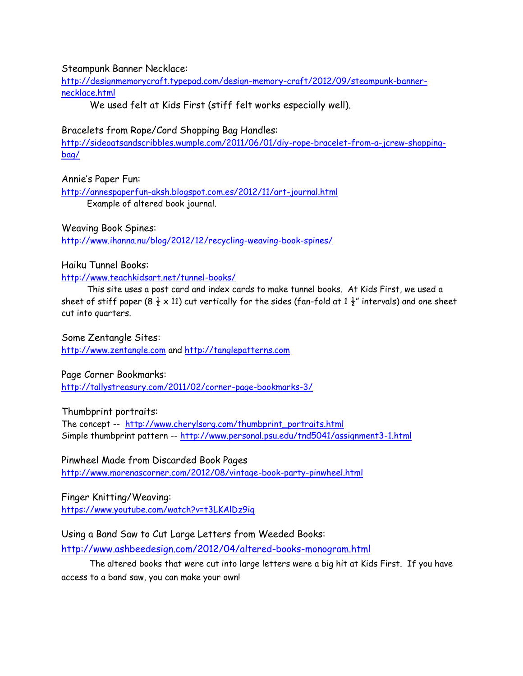#### Steampunk Banner Necklace:

[http://designmemorycraft.typepad.com/design-memory-craft/2012/09/steampunk-banner](http://designmemorycraft.typepad.com/design-memory-craft/2012/09/steampunk-banner-necklace.html)[necklace.html](http://designmemorycraft.typepad.com/design-memory-craft/2012/09/steampunk-banner-necklace.html)

We used felt at Kids First (stiff felt works especially well).

Bracelets from Rope/Cord Shopping Bag Handles:

[http://sideoatsandscribbles.wumple.com/2011/06/01/diy-rope-bracelet-from-a-jcrew-shopping](http://sideoatsandscribbles.wumple.com/2011/06/01/diy-rope-bracelet-from-a-jcrew-shopping-bag/)[bag/](http://sideoatsandscribbles.wumple.com/2011/06/01/diy-rope-bracelet-from-a-jcrew-shopping-bag/)

Annie's Paper Fun:

<http://annespaperfun-aksh.blogspot.com.es/2012/11/art-journal.html> Example of altered book journal.

Weaving Book Spines:

<http://www.ihanna.nu/blog/2012/12/recycling-weaving-book-spines/>

#### Haiku Tunnel Books:

<http://www.teachkidsart.net/tunnel-books/>

 This site uses a post card and index cards to make tunnel books. At Kids First, we used a sheet of stiff paper (8  $\frac{1}{2} \times 11$ ) cut vertically for the sides (fan-fold at 1  $\frac{1}{2}$ " intervals) and one sheet cut into quarters.

Some Zentangle Sites:

[http://www.zentangle.com](http://www.zentangle.com/) and [http://tanglepatterns.com](http://tanglepatterns.com/)

Page Corner Bookmarks:

<http://tallystreasury.com/2011/02/corner-page-bookmarks-3/>

Thumbprint portraits:

The concept -- [http://www.cherylsorg.com/thumbprint\\_portraits.html](http://www.cherylsorg.com/thumbprint_portraits.html) Simple thumbprint pattern -- <http://www.personal.psu.edu/tnd5041/assignment3-1.html>

Pinwheel Made from Discarded Book Pages

<http://www.morenascorner.com/2012/08/vintage-book-party-pinwheel.html>

Finger Knitting/Weaving: <https://www.youtube.com/watch?v=t3LKAlDz9ig>

#### Using a Band Saw to Cut Large Letters from Weeded Books:

<http://www.ashbeedesign.com/2012/04/altered-books-monogram.html>

 The altered books that were cut into large letters were a big hit at Kids First. If you have access to a band saw, you can make your own!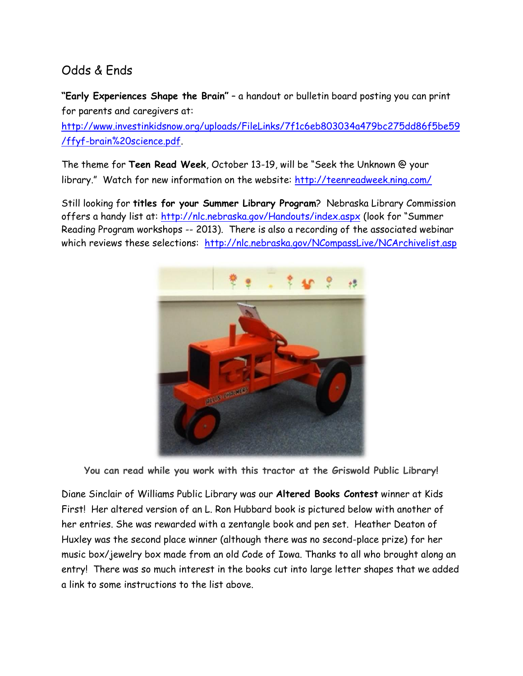# Odds & Ends

**"Early Experiences Shape the Brain"** – a handout or bulletin board posting you can print for parents and caregivers at:

[http://www.investinkidsnow.org/uploads/FileLinks/7f1c6eb803034a479bc275dd86f5be59](http://www.investinkidsnow.org/uploads/FileLinks/7f1c6eb803034a479bc275dd86f5be59/ffyf-brain%20science.pdf) [/ffyf-brain%20science.pdf.](http://www.investinkidsnow.org/uploads/FileLinks/7f1c6eb803034a479bc275dd86f5be59/ffyf-brain%20science.pdf)

The theme for **Teen Read Week**, October 13-19, will be "Seek the Unknown @ your library." Watch for new information on the website: <http://teenreadweek.ning.com/>

Still looking for **titles for your Summer Library Program**? Nebraska Library Commission offers a handy list at: <http://nlc.nebraska.gov/Handouts/index.aspx> (look for "Summer Reading Program workshops -- 2013). There is also a recording of the associated webinar which reviews these selections: <http://nlc.nebraska.gov/NCompassLive/NCArchivelist.asp>



**You can read while you work with this tractor at the Griswold Public Library!**

Diane Sinclair of Williams Public Library was our **Altered Books Contest** winner at Kids First! Her altered version of an L. Ron Hubbard book is pictured below with another of her entries. She was rewarded with a zentangle book and pen set. Heather Deaton of Huxley was the second place winner (although there was no second-place prize) for her music box/jewelry box made from an old Code of Iowa. Thanks to all who brought along an entry! There was so much interest in the books cut into large letter shapes that we added a link to some instructions to the list above.